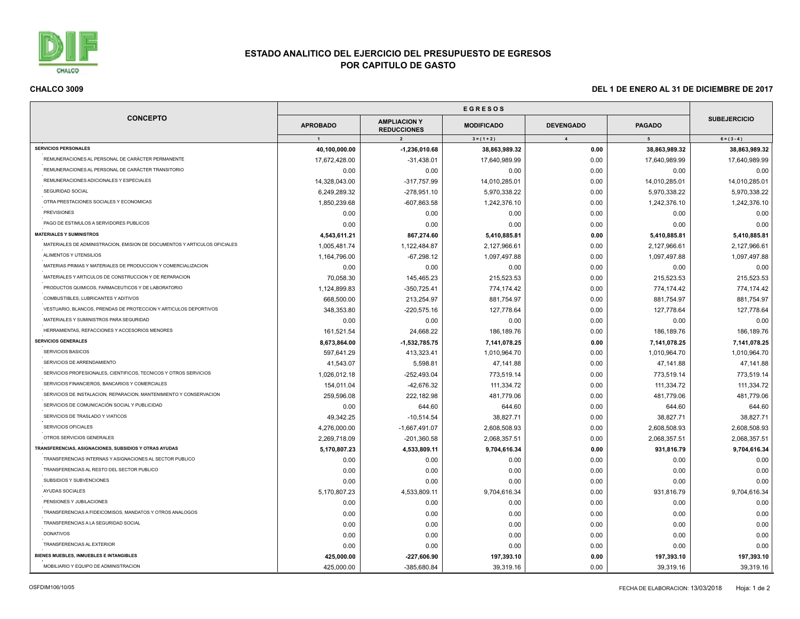

÷,

## **ESTADO ANALITICO DEL EJERCICIO DEL PRESUPUESTO DE EGRESOS POR CAPITULO DE GASTO**

| <b>CONCEPTO</b>                                                           |                 |                                                             |                                    |                                    |                    |                                      |
|---------------------------------------------------------------------------|-----------------|-------------------------------------------------------------|------------------------------------|------------------------------------|--------------------|--------------------------------------|
|                                                                           | <b>APROBADO</b> | <b>AMPLIACION Y</b><br><b>REDUCCIONES</b><br>$\overline{2}$ | <b>MODIFICADO</b><br>$3 = (1 + 2)$ | <b>DEVENGADO</b><br>$\overline{4}$ | <b>PAGADO</b><br>5 | <b>SUBEJERCICIO</b><br>$6 = (3 - 4)$ |
|                                                                           | $\overline{1}$  |                                                             |                                    |                                    |                    |                                      |
| <b>SERVICIOS PERSONALES</b>                                               | 40,100,000.00   | $-1,236,010.68$                                             | 38,863,989.32                      | 0.00                               | 38,863,989.32      | 38,863,989.32                        |
| REMUNERACIONES AL PERSONAL DE CARÁCTER PERMANENTE                         | 17,672,428.00   | $-31,438.01$                                                | 17,640,989.99                      | 0.00                               | 17,640,989.99      | 17,640,989.99                        |
| REMUNERACIONES AL PERSONAL DE CARÁCTER TRANSITORIO                        | 0.00            | 0.00                                                        | 0.00                               | 0.00                               | 0.00               | 0.00                                 |
| REMUNERACIONES ADICIONALES Y ESPECIALES                                   | 14,328,043.00   | -317,757.99                                                 | 14,010,285.01                      | 0.00                               | 14,010,285.01      | 14,010,285.01                        |
| SEGURIDAD SOCIAL                                                          | 6,249,289.32    | -278,951.10                                                 | 5,970,338.22                       | 0.00                               | 5,970,338.22       | 5,970,338.22                         |
| OTRA PRESTACIONES SOCIALES Y ECONOMICAS                                   | 1,850,239.68    | -607,863.58                                                 | 1,242,376.10                       | 0.00                               | 1,242,376.10       | 1,242,376.10                         |
| <b>PREVISIONES</b>                                                        | 0.00            | 0.00                                                        | 0.00                               | 0.00                               | 0.00               | 0.00                                 |
| PAGO DE ESTIMULOS A SERVIDORES PUBLICOS                                   | 0.00            | 0.00                                                        | 0.00                               | 0.00                               | 0.00               | 0.00                                 |
| <b>MATERIALES Y SUMINISTROS</b>                                           | 4,543,611.21    | 867,274.60                                                  | 5,410,885.81                       | 0.00                               | 5,410,885.81       | 5,410,885.81                         |
| MATERIALES DE ADMINISTRACION, EMISION DE DOCUMENTOS Y ARTICULOS OFICIALES | 1,005,481.74    | 1,122,484.87                                                | 2,127,966.61                       | 0.00                               | 2,127,966.61       | 2,127,966.61                         |
| ALIMENTOS Y UTENSILIOS                                                    | 1,164,796.00    | $-67,298.12$                                                | 1,097,497.88                       | 0.00                               | 1,097,497.88       | 1,097,497.88                         |
| MATERIAS PRIMAS Y MATERIALES DE PRODUCCION Y COMERCIALIZACION             | 0.00            | 0.00                                                        | 0.00                               | 0.00                               | 0.00               | 0.00                                 |
| MATERIALES Y ARTICULOS DE CONSTRUCCION Y DE REPARACION                    | 70,058.30       | 145,465.23                                                  | 215,523.53                         | 0.00                               | 215,523.53         | 215,523.53                           |
| PRODUCTOS QUIMICOS, FARMACEUTICOS Y DE LABORATORIO                        | 1,124,899.83    | $-350,725.41$                                               | 774,174.42                         | 0.00                               | 774,174.42         | 774,174.42                           |
| COMBUSTIBLES, LUBRICANTES Y ADITIVOS                                      | 668,500.00      | 213,254.97                                                  | 881,754.97                         | 0.00                               | 881,754.97         | 881,754.97                           |
| VESTUARIO, BLANCOS, PRENDAS DE PROTECCION Y ARTICULOS DEPORTIVOS          | 348,353.80      | $-220,575.16$                                               | 127,778.64                         | 0.00                               | 127,778.64         | 127,778.64                           |
| MATERIALES Y SUMINISTROS PARA SEGURIDAD                                   | 0.00            | 0.00                                                        | 0.00                               | 0.00                               | 0.00               | 0.00                                 |
| HERRAMIENTAS, REFACCIONES Y ACCESORIOS MENORES                            | 161,521.54      | 24,668.22                                                   | 186,189.76                         | 0.00                               | 186,189.76         | 186,189.76                           |
| <b>SERVICIOS GENERALES</b>                                                |                 |                                                             |                                    |                                    |                    |                                      |
| SERVICIOS BASICOS                                                         | 8,673,864.00    | $-1,532,785.75$                                             | 7,141,078.25                       | 0.00                               | 7,141,078.25       | 7,141,078.25                         |
| SERVICIOS DE ARRENDAMIENTO                                                | 597,641.29      | 413,323.41                                                  | 1,010,964.70                       | 0.00                               | 1,010,964.70       | 1,010,964.70                         |
|                                                                           | 41,543.07       | 5,598.81                                                    | 47,141.88                          | 0.00                               | 47,141.88          | 47,141.88                            |
| SERVICIOS PROFESIONALES, CIENTIFICOS, TECNICOS Y OTROS SERVICIOS          | 1,026,012.18    | -252,493.04                                                 | 773,519.14                         | 0.00                               | 773,519.14         | 773,519.14                           |
| SERVICIOS FINANCIEROS, BANCARIOS Y COMERCIALES                            | 154.011.04      | -42,676.32                                                  | 111,334.72                         | 0.00                               | 111,334.72         | 111,334.72                           |
| SERVICIOS DE INSTALACION, REPARACION, MANTENIMIENTO Y CONSERVACION        | 259,596.08      | 222,182.98                                                  | 481,779.06                         | 0.00                               | 481,779.06         | 481,779.06                           |
| SERVICIOS DE COMUNICACIÓN SOCIAL Y PUBLICIDAD                             | 0.00            | 644.60                                                      | 644.60                             | 0.00                               | 644.60             | 644.60                               |
| SERVICIOS DE TRASLADO Y VIATICOS                                          | 49,342.25       | $-10,514.54$                                                | 38,827.71                          | 0.00                               | 38,827.71          | 38,827.71                            |
| SERVICIOS OFICIALES                                                       | 4,276,000.00    | $-1,667,491.07$                                             | 2,608,508.93                       | 0.00                               | 2,608,508.93       | 2,608,508.93                         |
| OTROS SERVICIOS GENERALES                                                 | 2,269,718.09    | $-201,360.58$                                               | 2,068,357.51                       | 0.00                               | 2,068,357.51       | 2,068,357.51                         |
| TRANSFERENCIAS, ASIGNACIONES, SUBSIDIOS Y OTRAS AYUDAS                    | 5,170,807.23    | 4,533,809.11                                                | 9,704,616.34                       | 0.00                               | 931,816.79         | 9,704,616.34                         |
| TRANSFERENCIAS INTERNAS Y ASIGNACIONES AL SECTOR PUBLICO                  | 0.00            | 0.00                                                        | 0.00                               | 0.00                               | 0.00               | 0.00                                 |
| TRANSFERENCIAS AL RESTO DEL SECTOR PUBLICO                                | 0.00            | 0.00                                                        | 0.00                               | 0.00                               | 0.00               | 0.00                                 |
| SUBSIDIOS Y SUBVENCIONES                                                  | 0.00            | 0.00                                                        | 0.00                               | 0.00                               | 0.00               | 0.00                                 |
| AYUDAS SOCIALES                                                           | 5,170,807.23    | 4,533,809.11                                                | 9,704,616.34                       | 0.00                               | 931,816.79         | 9,704,616.34                         |
| PENSIONES Y JUBILACIONES                                                  | 0.00            | 0.00                                                        | 0.00                               | 0.00                               | 0.00               | 0.00                                 |
| TRANSFERENCIAS A FIDEICOMISOS, MANDATOS Y OTROS ANALOGOS                  | 0.00            | 0.00                                                        | 0.00                               | 0.00                               | 0.00               | 0.00                                 |
| TRANSFERENCIAS A LA SEGURIDAD SOCIAL                                      | 0.00            | 0.00                                                        | 0.00                               | 0.00                               | 0.00               | 0.00                                 |
| <b>DONATIVOS</b>                                                          | 0.00            | 0.00                                                        | 0.00                               | 0.00                               | 0.00               | 0.00                                 |
| TRANSFERENCIAS AL EXTERIOR                                                | 0.00            | 0.00                                                        | 0.00                               | 0.00                               | 0.00               | 0.00                                 |
| BIENES MUEBLES, INMUEBLES E INTANGIBLES                                   | 425,000.00      | $-227,606.90$                                               | 197,393.10                         | 0.00                               | 197,393.10         | 197,393.10                           |
| MOBILIARIO Y EQUIPO DE ADMINISTRACION                                     | 425.000.00      | -385,680.84                                                 | 39,319.16                          | 0.00                               | 39,319.16          | 39.319.16                            |